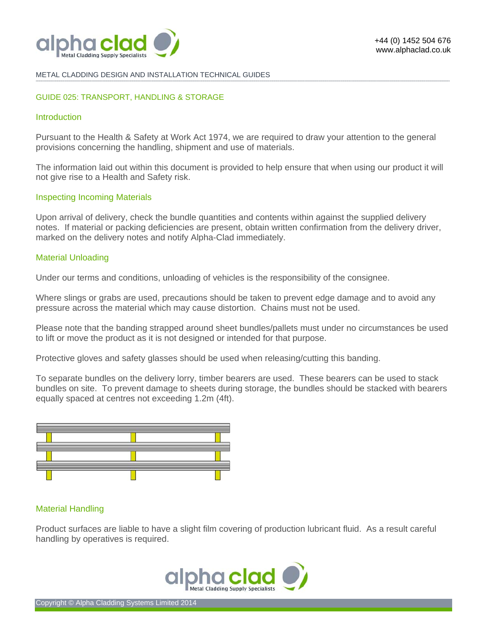

#### METAL CLADDING DESIGN AND INSTALLATION TECHNICAL GUIDES **-------------------------------------------------------------------------------------------------------------------------------------------------------------------------------------------------------------------------------------------------------------------------------------------------------------------------------------------------------------------------------------------------------**

### GUIDE 025: TRANSPORT, HANDLING & STORAGE

# **Introduction**

Pursuant to the Health & Safety at Work Act 1974, we are required to draw your attention to the general provisions concerning the handling, shipment and use of materials.

The information laid out within this document is provided to help ensure that when using our product it will not give rise to a Health and Safety risk.

### Inspecting Incoming Materials

Upon arrival of delivery, check the bundle quantities and contents within against the supplied delivery notes. If material or packing deficiencies are present, obtain written confirmation from the delivery driver, marked on the delivery notes and notify Alpha-Clad immediately.

# Material Unloading

Under our terms and conditions, unloading of vehicles is the responsibility of the consignee.

Where slings or grabs are used, precautions should be taken to prevent edge damage and to avoid any pressure across the material which may cause distortion. Chains must not be used.

Please note that the banding strapped around sheet bundles/pallets must under no circumstances be used to lift or move the product as it is not designed or intended for that purpose.

Protective gloves and safety glasses should be used when releasing/cutting this banding.

To separate bundles on the delivery lorry, timber bearers are used. These bearers can be used to stack bundles on site. To prevent damage to sheets during storage, the bundles should be stacked with bearers equally spaced at centres not exceeding 1.2m (4ft).



### Material Handling

Product surfaces are liable to have a slight film covering of production lubricant fluid. As a result careful handling by operatives is required.

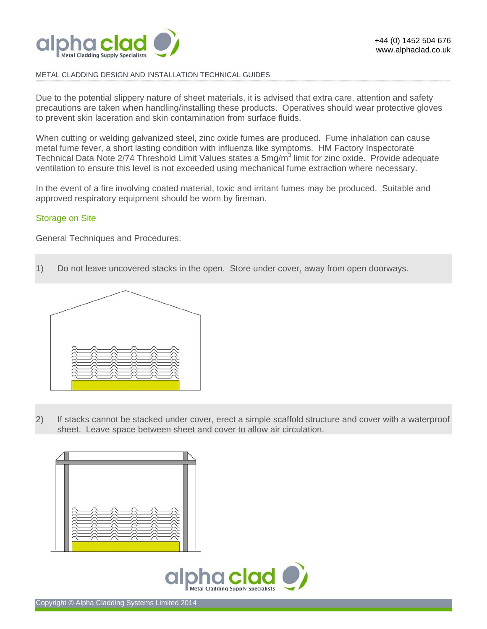

# METAL CLADDING DESIGN AND INSTALLATION TECHNICAL GUIDES

Due to the potential slippery nature of sheet materials, it is advised that extra care, attention and safety precautions are taken when handling/installing these products. Operatives should wear protective gloves to prevent skin laceration and skin contamination from surface fluids.

**-------------------------------------------------------------------------------------------------------------------------------------------------------------------------------------------------------------------------------------------------------------------------------------------------------------------------------------------------------------------------------------------------------** 

When cutting or welding galvanized steel, zinc oxide fumes are produced. Fume inhalation can cause metal fume fever, a short lasting condition with influenza like symptoms. HM Factory Inspectorate Technical Data Note 2/74 Threshold Limit Values states a 5mg/m<sup>3</sup> limit for zinc oxide. Provide adequate ventilation to ensure this level is not exceeded using mechanical fume extraction where necessary.

In the event of a fire involving coated material, toxic and irritant fumes may be produced. Suitable and approved respiratory equipment should be worn by fireman.

# Storage on Site

General Techniques and Procedures:

1) Do not leave uncovered stacks in the open. Store under cover, away from open doorways.



2) If stacks cannot be stacked under cover, erect a simple scaffold structure and cover with a waterproof sheet. Leave space between sheet and cover to allow air circulation.

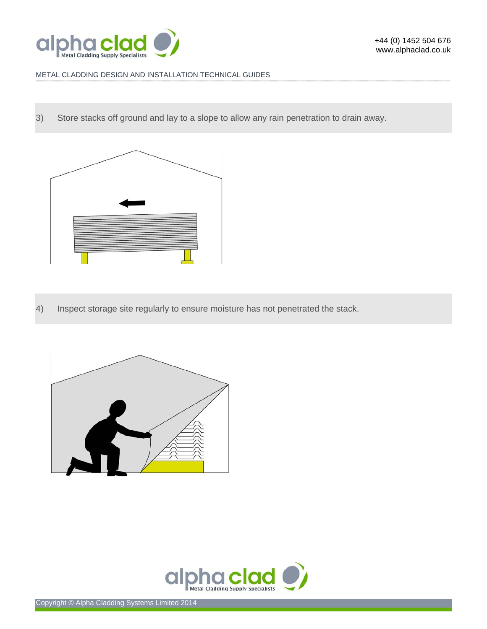

# METAL CLADDING DESIGN AND INSTALLATION TECHNICAL GUIDES

3) Store stacks off ground and lay to a slope to allow any rain penetration to drain away.

**-------------------------------------------------------------------------------------------------------------------------------------------------------------------------------------------------------------------------------------------------------------------------------------------------------------------------------------------------------------------------------------------------------** 



4) Inspect storage site regularly to ensure moisture has not penetrated the stack.